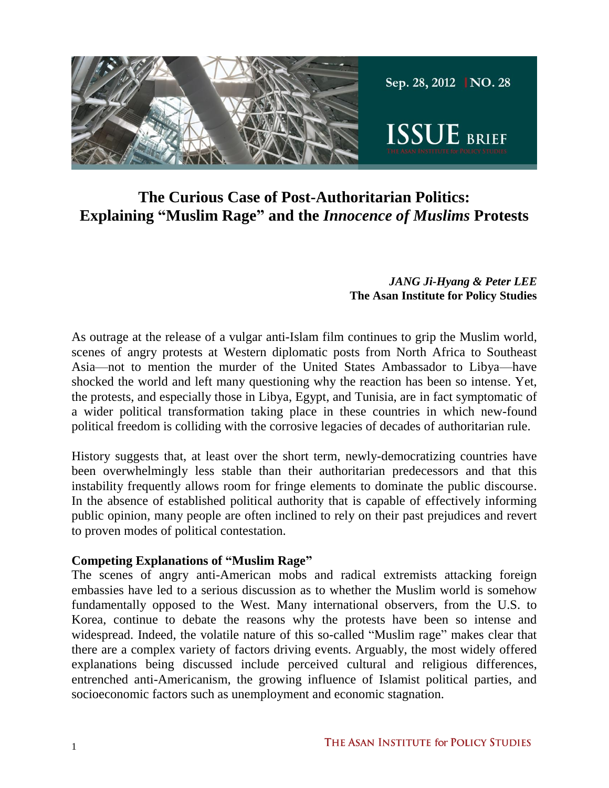

# **The Curious Case of Post-Authoritarian Politics: Explaining "Muslim Rage" and the** *Innocence of Muslims* **Protests**

#### *JANG Ji-Hyang & Peter LEE* **The Asan Institute for Policy Studies**

As outrage at the release of a vulgar anti-Islam film continues to grip the Muslim world, scenes of angry protests at Western diplomatic posts from North Africa to Southeast Asia—not to mention the murder of the United States Ambassador to Libya—have shocked the world and left many questioning why the reaction has been so intense. Yet, the protests, and especially those in Libya, Egypt, and Tunisia, are in fact symptomatic of a wider political transformation taking place in these countries in which new-found political freedom is colliding with the corrosive legacies of decades of authoritarian rule.

History suggests that, at least over the short term, newly-democratizing countries have been overwhelmingly less stable than their authoritarian predecessors and that this instability frequently allows room for fringe elements to dominate the public discourse. In the absence of established political authority that is capable of effectively informing public opinion, many people are often inclined to rely on their past prejudices and revert to proven modes of political contestation.

#### **Competing Explanations of "Muslim Rage"**

The scenes of angry anti-American mobs and radical extremists attacking foreign embassies have led to a serious discussion as to whether the Muslim world is somehow fundamentally opposed to the West. Many international observers, from the U.S. to Korea, continue to debate the reasons why the protests have been so intense and widespread. Indeed, the volatile nature of this so-called "Muslim rage" makes clear that there are a complex variety of factors driving events. Arguably, the most widely offered explanations being discussed include perceived cultural and religious differences, entrenched anti-Americanism, the growing influence of Islamist political parties, and socioeconomic factors such as unemployment and economic stagnation.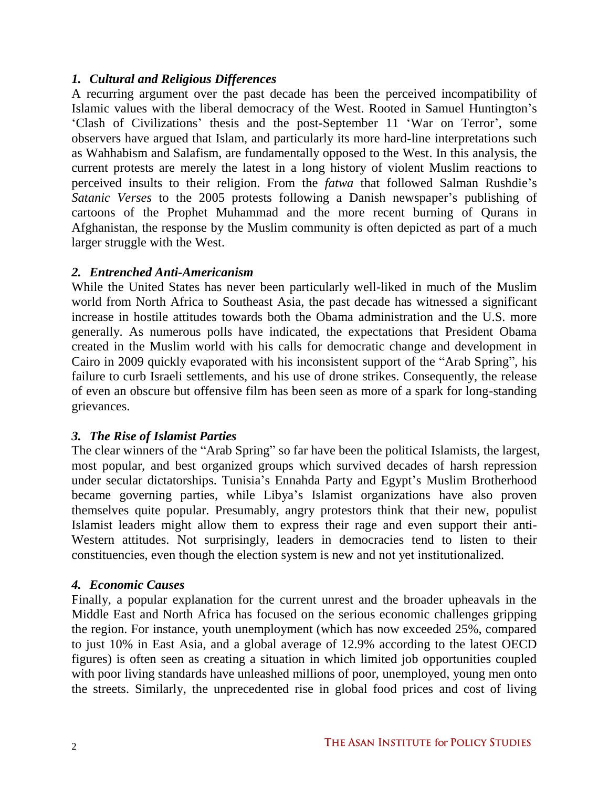## *1. Cultural and Religious Differences*

A recurring argument over the past decade has been the perceived incompatibility of Islamic values with the liberal democracy of the West. Rooted in Samuel Huntington's 'Clash of Civilizations' thesis and the post-September 11 'War on Terror', some observers have argued that Islam, and particularly its more hard-line interpretations such as Wahhabism and Salafism, are fundamentally opposed to the West. In this analysis, the current protests are merely the latest in a long history of violent Muslim reactions to perceived insults to their religion. From the *fatwa* that followed Salman Rushdie's *Satanic Verses* to the 2005 protests following a Danish newspaper's publishing of cartoons of the Prophet Muhammad and the more recent burning of Qurans in Afghanistan, the response by the Muslim community is often depicted as part of a much larger struggle with the West.

### *2. Entrenched Anti-Americanism*

While the United States has never been particularly well-liked in much of the Muslim world from North Africa to Southeast Asia, the past decade has witnessed a significant increase in hostile attitudes towards both the Obama administration and the U.S. more generally. As numerous polls have indicated, the expectations that President Obama created in the Muslim world with his calls for democratic change and development in Cairo in 2009 quickly evaporated with his inconsistent support of the "Arab Spring", his failure to curb Israeli settlements, and his use of drone strikes. Consequently, the release of even an obscure but offensive film has been seen as more of a spark for long-standing grievances.

### *3. The Rise of Islamist Parties*

The clear winners of the "Arab Spring" so far have been the political Islamists, the largest, most popular, and best organized groups which survived decades of harsh repression under secular dictatorships. Tunisia's Ennahda Party and Egypt's Muslim Brotherhood became governing parties, while Libya's Islamist organizations have also proven themselves quite popular. Presumably, angry protestors think that their new, populist Islamist leaders might allow them to express their rage and even support their anti-Western attitudes. Not surprisingly, leaders in democracies tend to listen to their constituencies, even though the election system is new and not yet institutionalized.

### *4. Economic Causes*

Finally, a popular explanation for the current unrest and the broader upheavals in the Middle East and North Africa has focused on the serious economic challenges gripping the region. For instance, youth unemployment (which has now exceeded 25%, compared to just 10% in East Asia, and a global average of 12.9% according to the latest OECD figures) is often seen as creating a situation in which limited job opportunities coupled with poor living standards have unleashed millions of poor, unemployed, young men onto the streets. Similarly, the unprecedented rise in global food prices and cost of living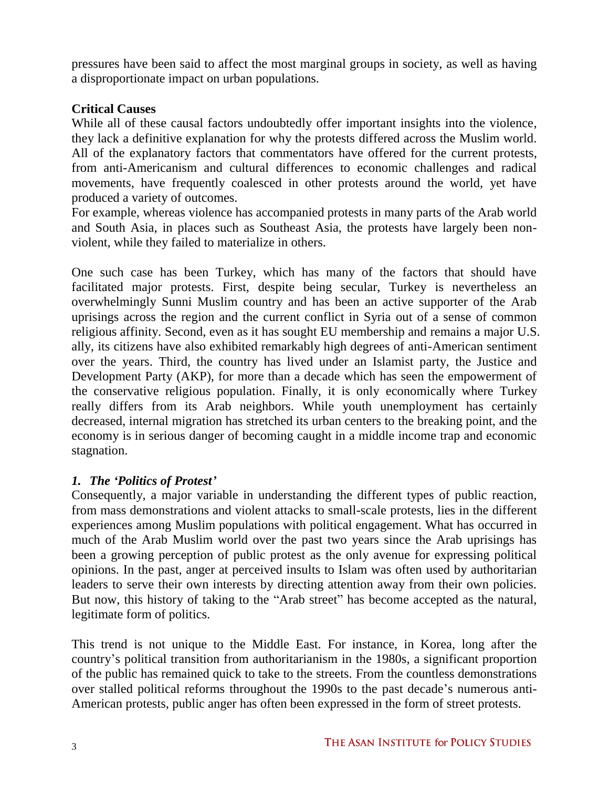pressures have been said to affect the most marginal groups in society, as well as having a disproportionate impact on urban populations.

### **Critical Causes**

While all of these causal factors undoubtedly offer important insights into the violence, they lack a definitive explanation for why the protests differed across the Muslim world. All of the explanatory factors that commentators have offered for the current protests, from anti-Americanism and cultural differences to economic challenges and radical movements, have frequently coalesced in other protests around the world, yet have produced a variety of outcomes.

For example, whereas violence has accompanied protests in many parts of the Arab world and South Asia, in places such as Southeast Asia, the protests have largely been nonviolent, while they failed to materialize in others.

One such case has been Turkey, which has many of the factors that should have facilitated major protests. First, despite being secular, Turkey is nevertheless an overwhelmingly Sunni Muslim country and has been an active supporter of the Arab uprisings across the region and the current conflict in Syria out of a sense of common religious affinity. Second, even as it has sought EU membership and remains a major U.S. ally, its citizens have also exhibited remarkably high degrees of anti-American sentiment over the years. Third, the country has lived under an Islamist party, the Justice and Development Party (AKP), for more than a decade which has seen the empowerment of the conservative religious population. Finally, it is only economically where Turkey really differs from its Arab neighbors. While youth unemployment has certainly decreased, internal migration has stretched its urban centers to the breaking point, and the economy is in serious danger of becoming caught in a middle income trap and economic stagnation.

## *1. The 'Politics of Protest'*

Consequently, a major variable in understanding the different types of public reaction, from mass demonstrations and violent attacks to small-scale protests, lies in the different experiences among Muslim populations with political engagement. What has occurred in much of the Arab Muslim world over the past two years since the Arab uprisings has been a growing perception of public protest as the only avenue for expressing political opinions. In the past, anger at perceived insults to Islam was often used by authoritarian leaders to serve their own interests by directing attention away from their own policies. But now, this history of taking to the "Arab street" has become accepted as the natural, legitimate form of politics.

This trend is not unique to the Middle East. For instance, in Korea, long after the country's political transition from authoritarianism in the 1980s, a significant proportion of the public has remained quick to take to the streets. From the countless demonstrations over stalled political reforms throughout the 1990s to the past decade's numerous anti-American protests, public anger has often been expressed in the form of street protests.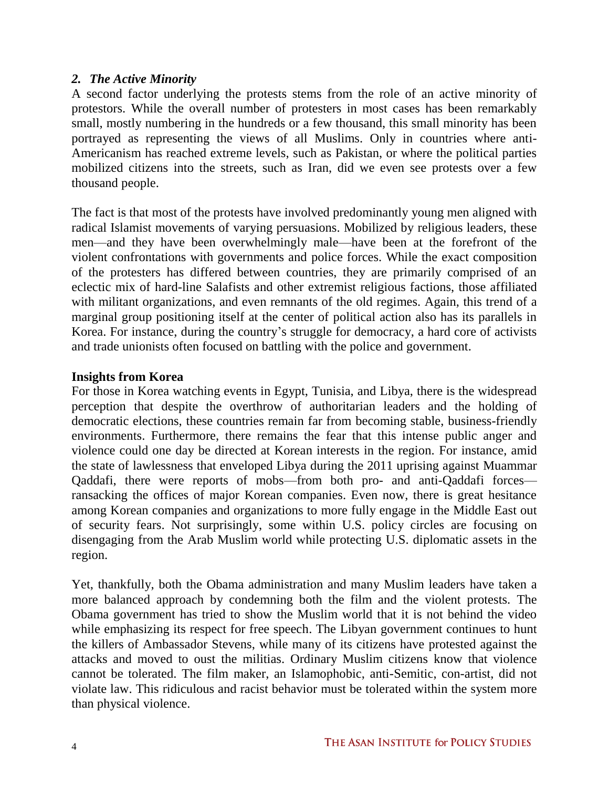#### *2. The Active Minority*

A second factor underlying the protests stems from the role of an active minority of protestors. While the overall number of protesters in most cases has been remarkably small, mostly numbering in the hundreds or a few thousand, this small minority has been portrayed as representing the views of all Muslims. Only in countries where anti-Americanism has reached extreme levels, such as Pakistan, or where the political parties mobilized citizens into the streets, such as Iran, did we even see protests over a few thousand people.

The fact is that most of the protests have involved predominantly young men aligned with radical Islamist movements of varying persuasions. Mobilized by religious leaders, these men—and they have been overwhelmingly male—have been at the forefront of the violent confrontations with governments and police forces. While the exact composition of the protesters has differed between countries, they are primarily comprised of an eclectic mix of hard-line Salafists and other extremist religious factions, those affiliated with militant organizations, and even remnants of the old regimes. Again, this trend of a marginal group positioning itself at the center of political action also has its parallels in Korea. For instance, during the country's struggle for democracy, a hard core of activists and trade unionists often focused on battling with the police and government.

### **Insights from Korea**

For those in Korea watching events in Egypt, Tunisia, and Libya, there is the widespread perception that despite the overthrow of authoritarian leaders and the holding of democratic elections, these countries remain far from becoming stable, business-friendly environments. Furthermore, there remains the fear that this intense public anger and violence could one day be directed at Korean interests in the region. For instance, amid the state of lawlessness that enveloped Libya during the 2011 uprising against Muammar Qaddafi, there were reports of mobs—from both pro- and anti-Qaddafi forces ransacking the offices of major Korean companies. Even now, there is great hesitance among Korean companies and organizations to more fully engage in the Middle East out of security fears. Not surprisingly, some within U.S. policy circles are focusing on disengaging from the Arab Muslim world while protecting U.S. diplomatic assets in the region.

Yet, thankfully, both the Obama administration and many Muslim leaders have taken a more balanced approach by condemning both the film and the violent protests. The Obama government has tried to show the Muslim world that it is not behind the video while emphasizing its respect for free speech. The Libyan government continues to hunt the killers of Ambassador Stevens, while many of its citizens have protested against the attacks and moved to oust the militias. Ordinary Muslim citizens know that violence cannot be tolerated. The film maker, an Islamophobic, anti-Semitic, con-artist, did not violate law. This ridiculous and racist behavior must be tolerated within the system more than physical violence.